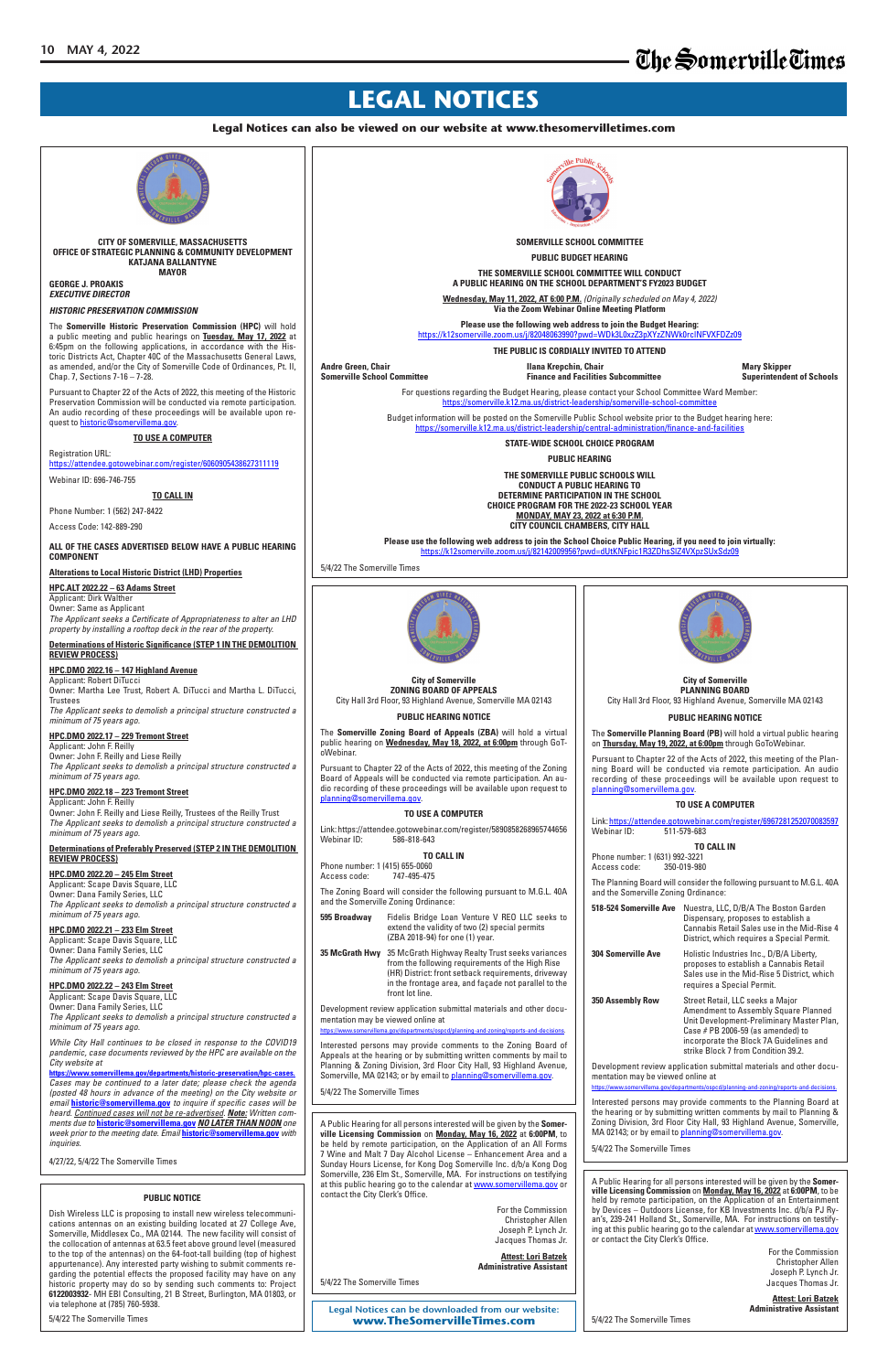**Legal Notices can be downloaded from our website: www.TheSomervilleTimes.com**

## **LEGAL NOTICES**

**Legal Notices can also be viewed on our website at www.thesomervilletimes.com**

## **PUBLIC NOTICE**

Dish Wireless LLC is proposing to install new wireless telecommunications antennas on an existing building located at 27 College Ave, Somerville, Middlesex Co., MA 02144. The new facility will consist of the collocation of antennas at 63.5 feet above ground level (measured to the top of the antennas) on the 64-foot-tall building (top of highest appurtenance). Any interested party wishing to submit comments regarding the potential effects the proposed facility may have on any historic property may do so by sending such comments to: Project **6122003932**- MH EBI Consulting, 21 B Street, Burlington, MA 01803, or via telephone at (785) 760-5938.

5/4/22 The Somerville Times

**HPC.DMO 2022.22 – 243 Elm Street** Applicant: Scape Davis Square, LLC Owner: Dana Family Series, LLC

*The Applicant seeks to demolish a principal structure constructed a minimum of 75 years ago.*

> Interested persons may provide comments to the Planning Board at the hearing or by submitting written comments by mail to Planning & Zoning Division, 3rd Floor City Hall, 93 Highland Avenue, Somerville, MA 02143; or by email to planning@somervillema.gov.

*While City Hall continues to be closed in response to the COVID19 pandemic, case documents reviewed by the HPC are available on the City website at* 

**https://www.somervillema.gov/departments/historic-preservation/hpc-cases.** *Cases may be continued to a later date; please check the agenda (posted 48 hours in advance of the meeting) on the City website or email* **historic@somervillema.gov** *to inquire if specific cases will be heard. Continued cases will not be re-advertised. Note: Written comments due to* **historic@somervillema.gov** *NO LATER THAN NOON one week prior to the meeting date. Email* **historic@somervillema.gov** *with inquiries.*

4/27/22, 5/4/22 The Somerville Times

Interested persons may provide comments to the Zoning Board of Appeals at the hearing or by submitting written comments by mail to Planning & Zoning Division, 3rd Floor City Hall, 93 Highland Avenue, Somerville, MA 02143; or by email to planning@somervillema.gov.



**350 Assembly Row** Street Retail, LLC seeks a Major

Amendment to Assembly Square Planned Unit Development-Preliminary Master Plan, Case # PB 2006-59 (as amended) to incorporate the Block 7A Guidelines and strike Block 7 from Condition 39.2.

Development review application submittal materials and other documentation may be viewed online at

https://www.somervillema.gov/departments/ospcd/planning-and-zoning/reports-and-decisions.

5/4/22 The Somerville Times

front lot line.

Development review application submittal materials and other documentation may be viewed online at

https://www.somervillema.gov/departments/ospcd/planning-and-zoning/reports-and-decisions.

5/4/22 The Somerville Times

A Public Hearing for all persons interested will be given by the **Somerville Licensing Commission** on **Monday, May 16, 2022** at **6:00PM**, to be held by remote participation, on the Application of an All Forms 7 Wine and Malt 7 Day Alcohol License – Enhancement Area and a Sunday Hours License, for Kong Dog Somerville Inc. d/b/a Kong Dog Somerville, 236 Elm St., Somerville, MA. For instructions on testifying at this public hearing go to the calendar at www.somervillema.gov or contact the City Clerk's Office.

> For the Commission Christopher Allen Joseph P. Lynch Jr. Jacques Thomas Jr.

**Attest: Lori Batzek Administrative Assistant**

5/4/22 The Somerville Times

A Public Hearing for all persons interested will be given by the **Somerville Licensing Commission** on **Monday, May 16, 2022** at **6:00PM**, to be held by remote participation, on the Application of an Entertainment by Devices – Outdoors License, for KB Investments Inc. d/b/a PJ Ryan's, 239-241 Holland St., Somerville, MA. For instructions on testifying at this public hearing go to the calendar at www.somervillema.gov or contact the City Clerk's Office.

> For the Commission Christopher Allen Joseph P. Lynch Jr. Jacques Thomas Jr.

**Attest: Lori Batzek Administrative Assistant**

5/4/22 The Somerville Times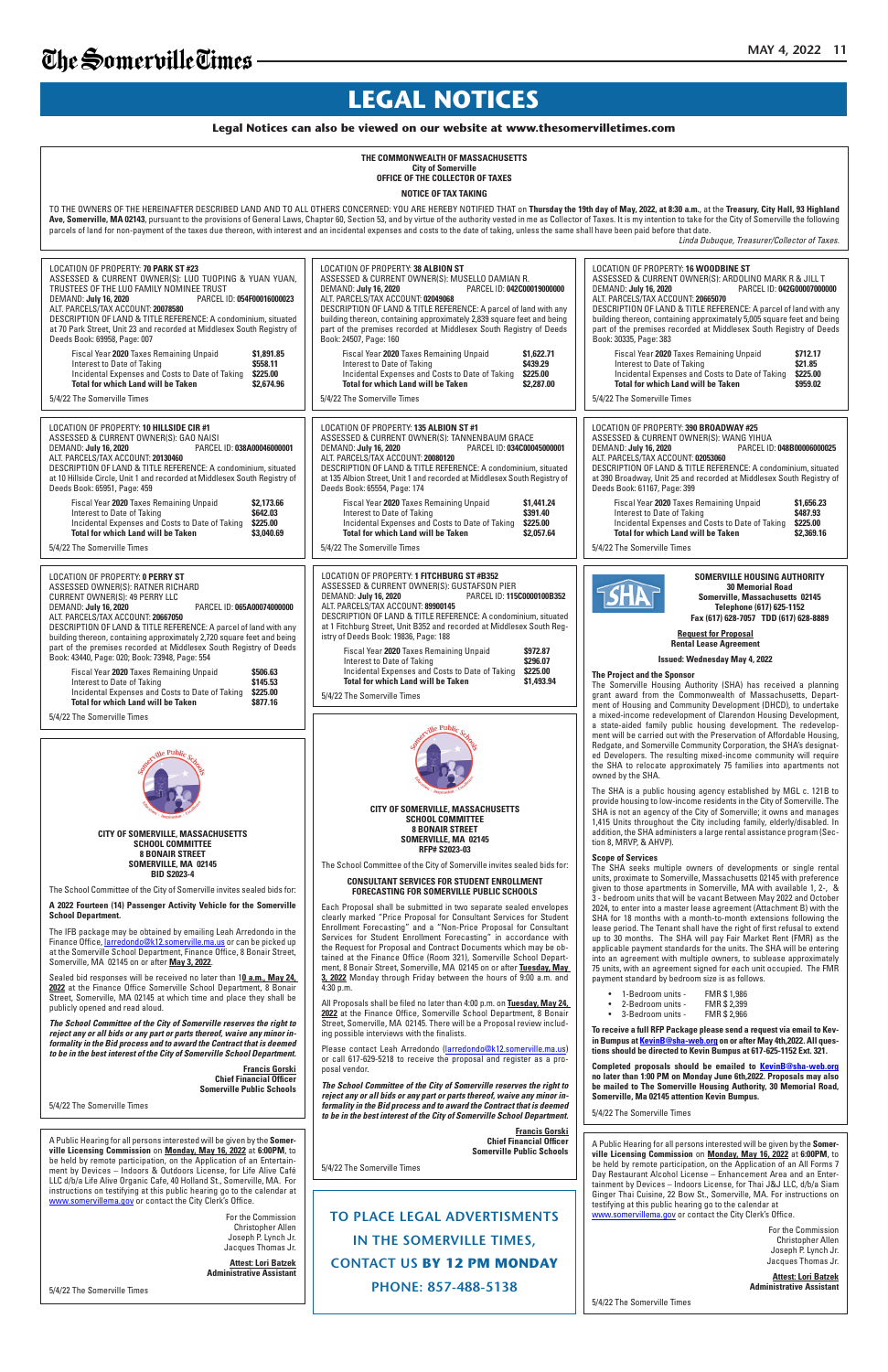**TO PLACE LEGAL ADVERTISMENTS IN THE SOMERVILLE TIMES, CONTACT US BY 12 PM MONDAY PHONE: 857-488-5138**

## **LEGAL NOTICES**

## **Legal Notices can also be viewed on our website at www.thesomervilletimes.com**

publicly opened and read aloud.

*The School Committee of the City of Somerville reserves the right to reject any or all bids or any part or parts thereof, waive any minor informality in the Bid process and to award the Contract that is deemed to be in the best interest of the City of Somerville School Department.*

Please contact Leah Arredondo (larredondo@k12.somerville.ma.us) or call 617-629-5218 to receive the proposal and register as a proposal vendor.

**Francis Gorski Chief Financial Officer Somerville Public Schools**

5/4/22 The Somerville Times

**2022** at the Finance Office Somerville School Department, 8 Bonair Street, Somerville, MA 02145 at which time and place they shall be 4:30 p.m. All Proposals shall be filed no later than 4:00 p.m. on **Tuesday, May 24,** 

**2022** at the Finance Office, Somerville School Department, 8 Bonair Street, Somerville, MA 02145. There will be a Proposal review including possible interviews with the finalists.

*The School Committee of the City of Somerville reserves the right to reject any or all bids or any part or parts thereof, waive any minor informality in the Bid process and to award the Contract that is deemed to be in the best interest of the City of Somerville School Department.*

> **Francis Gorski Chief Financial Officer Somerville Public Schools**

5/4/22 The Somerville Times

| THE COMMONWEALTH OF MASSACHUSETTS<br><b>City of Somerville</b><br>OFFICE OF THE COLLECTOR OF TAXES                                                                                                                                                                                                                                                                                                                                                                                                                                                                                                                                                                                                                |                                                                                                                                                                                                                                                                                                                                                                                                                                                                                                                                                                                                                                                                                             |                                                                                                                                                                                                                                                                                                                                                                                                                                                                                                                                                                                                                                                                                                        |
|-------------------------------------------------------------------------------------------------------------------------------------------------------------------------------------------------------------------------------------------------------------------------------------------------------------------------------------------------------------------------------------------------------------------------------------------------------------------------------------------------------------------------------------------------------------------------------------------------------------------------------------------------------------------------------------------------------------------|---------------------------------------------------------------------------------------------------------------------------------------------------------------------------------------------------------------------------------------------------------------------------------------------------------------------------------------------------------------------------------------------------------------------------------------------------------------------------------------------------------------------------------------------------------------------------------------------------------------------------------------------------------------------------------------------|--------------------------------------------------------------------------------------------------------------------------------------------------------------------------------------------------------------------------------------------------------------------------------------------------------------------------------------------------------------------------------------------------------------------------------------------------------------------------------------------------------------------------------------------------------------------------------------------------------------------------------------------------------------------------------------------------------|
| <b>NOTICE OF TAX TAKING</b>                                                                                                                                                                                                                                                                                                                                                                                                                                                                                                                                                                                                                                                                                       |                                                                                                                                                                                                                                                                                                                                                                                                                                                                                                                                                                                                                                                                                             |                                                                                                                                                                                                                                                                                                                                                                                                                                                                                                                                                                                                                                                                                                        |
| TO THE OWNERS OF THE HEREINAFTER DESCRIBED LAND AND TO ALL OTHERS CONCERNED: YOU ARE HEREBY NOTIFIED THAT on Thursday the 19th day of May, 2022, at 8:30 a.m., at the Treasury, City Hall, 93 Highland<br>Ave, Somerville, MA 02143, pursuant to the provisions of General Laws, Chapter 60, Section 53, and by virtue of the authority vested in me as Collector of Taxes. It is my intention to take for the City of Somerville the fo<br>parcels of land for non-payment of the taxes due thereon, with interest and an incidental expenses and costs to the date of taking, unless the same shall have been paid before that date.<br>Linda Dubuque, Treasurer/Collector of Taxes.                            |                                                                                                                                                                                                                                                                                                                                                                                                                                                                                                                                                                                                                                                                                             |                                                                                                                                                                                                                                                                                                                                                                                                                                                                                                                                                                                                                                                                                                        |
| LOCATION OF PROPERTY: 70 PARK ST #23<br>ASSESSED & CURRENT OWNER(S): LUO TUOPING & YUAN YUAN,<br>TRUSTEES OF THE LUO FAMILY NOMINEE TRUST<br>PARCEL ID: 054F00016000023<br>DEMAND: July 16, 2020<br>ALT. PARCELS/TAX ACCOUNT: 20078580<br>DESCRIPTION OF LAND & TITLE REFERENCE: A condominium, situated<br>at 70 Park Street, Unit 23 and recorded at Middlesex South Registry of<br>Deeds Book: 69958, Page: 007<br>Fiscal Year 2020 Taxes Remaining Unpaid<br>\$1,891.85<br>Interest to Date of Taking<br>\$558.11<br>Incidental Expenses and Costs to Date of Taking<br>\$225.00<br><b>Total for which Land will be Taken</b><br>\$2,674.96<br>5/4/22 The Somerville Times                                    | LOCATION OF PROPERTY: 38 ALBION ST<br>ASSESSED & CURRENT OWNER(S): MUSELLO DAMIAN R.<br>DEMAND: July 16, 2020<br>PARCEL ID: 042C00019000000<br>ALT. PARCELS/TAX ACCOUNT: 02049068<br>DESCRIPTION OF LAND & TITLE REFERENCE: A parcel of land with any<br>building thereon, containing approximately 2,839 square feet and being<br>part of the premises recorded at Middlesex South Registry of Deeds<br>Book: 24507, Page: 160<br>Fiscal Year 2020 Taxes Remaining Unpaid<br>\$1,622.71<br>\$439.29<br>Interest to Date of Taking<br>Incidental Expenses and Costs to Date of Taking<br>\$225.00<br><b>Total for which Land will be Taken</b><br>\$2,287.00<br>5/4/22 The Somerville Times | <b>LOCATION OF PROPERTY: 16 WOODBINE ST</b><br>ASSESSED & CURRENT OWNER(S): ARDOLINO MARK R & JILL T<br>DEMAND: July 16, 2020<br>PARCEL ID: 042G00007000000<br>ALT. PARCELS/TAX ACCOUNT: 20665070<br>DESCRIPTION OF LAND & TITLE REFERENCE: A parcel of land with any<br>building thereon, containing approximately 5,005 square feet and being<br>part of the premises recorded at Middlesex South Registry of Deeds<br>Book: 30335, Page: 383<br>Fiscal Year 2020 Taxes Remaining Unpaid<br>\$712.17<br>\$21.85<br>Interest to Date of Taking<br>Incidental Expenses and Costs to Date of Taking<br>\$225.00<br><b>Total for which Land will be Taken</b><br>\$959.02<br>5/4/22 The Somerville Times |
| <b>LOCATION OF PROPERTY: 10 HILLSIDE CIR #1</b><br>ASSESSED & CURRENT OWNER(S): GAO NAISI<br>PARCEL ID: 038A00046000001<br>DEMAND: July 16, 2020<br>ALT. PARCELS/TAX ACCOUNT: 20130460<br>DESCRIPTION OF LAND & TITLE REFERENCE: A condominium, situated<br>at 10 Hillside Circle, Unit 1 and recorded at Middlesex South Registry of<br>Deeds Book: 65951, Page: 459<br>Fiscal Year 2020 Taxes Remaining Unpaid<br>\$2,173,66<br><b>\$642.03</b><br>Interest to Date of Taking<br>Incidental Expenses and Costs to Date of Taking<br>\$225.00<br><b>Total for which Land will be Taken</b><br>\$3,040.69<br>5/4/22 The Somerville Times                                                                          | LOCATION OF PROPERTY: 135 ALBION ST #1<br>ASSESSED & CURRENT OWNER(S): TANNENBAUM GRACE<br>PARCEL ID: 034C00045000001<br>DEMAND: July 16, 2020<br>ALT. PARCELS/TAX ACCOUNT: 20080120<br>DESCRIPTION OF LAND & TITLE REFERENCE: A condominium, situated<br>at 135 Albion Street, Unit 1 and recorded at Middlesex South Registry of<br>Deeds Book: 65554, Page: 174<br>Fiscal Year 2020 Taxes Remaining Unpaid<br>\$1,441.24<br>\$391.40<br>Interest to Date of Taking<br>Incidental Expenses and Costs to Date of Taking<br>\$225.00<br><b>Total for which Land will be Taken</b><br>\$2,057.64<br>5/4/22 The Somerville Times                                                              | LOCATION OF PROPERTY: 390 BROADWAY #25<br>ASSESSED & CURRENT OWNER(S): WANG YIHUA<br>PARCEL ID: 048B00006000025<br>DEMAND: July 16, 2020<br>ALT. PARCELS/TAX ACCOUNT: 02053060<br>DESCRIPTION OF LAND & TITLE REFERENCE: A condominium, situated<br>at 390 Broadway, Unit 25 and recorded at Middlesex South Registry of<br>Deeds Book: 61167, Page: 399<br>Fiscal Year 2020 Taxes Remaining Unpaid<br>\$1,656.23<br>\$487.93<br>Interest to Date of Taking<br>Incidental Expenses and Costs to Date of Taking<br>\$225.00<br><b>Total for which Land will be Taken</b><br>\$2,369.16<br>5/4/22 The Somerville Times                                                                                   |
| <b>LOCATION OF PROPERTY: 0 PERRY ST</b><br>ASSESSED OWNER(S): RATNER RICHARD<br><b>CURRENT OWNER(S): 49 PERRY LLC</b><br>DEMAND: July 16, 2020<br>PARCEL ID: 065A00074000000<br>ALT. PARCELS/TAX ACCOUNT: 20667050<br>DESCRIPTION OF LAND & TITLE REFERENCE: A parcel of land with any<br>building thereon, containing approximately 2,720 square feet and being<br>part of the premises recorded at Middlesex South Registry of Deeds<br>Book: 43440, Page: 020; Book: 73948, Page: 554<br>Fiscal Year 2020 Taxes Remaining Unpaid<br>\$506.63<br>Interest to Date of Taking<br>\$145.53<br>Incidental Expenses and Costs to Date of Taking<br>\$225.00<br><b>Total for which Land will be Taken</b><br>\$877.16 | LOCATION OF PROPERTY: 1 FITCHBURG ST #B352<br>ASSESSED & CURRENT OWNER(S): GUSTAFSON PIER<br>PARCEL ID: 115C0000100B352<br>DEMAND: July 16, 2020<br>ALT. PARCELS/TAX ACCOUNT: 89900145<br>DESCRIPTION OF LAND & TITLE REFERENCE: A condominium, situated<br>at 1 Fitchburg Street, Unit B352 and recorded at Middlesex South Reg-<br>istry of Deeds Book: 19836, Page: 188<br>Fiscal Year 2020 Taxes Remaining Unpaid<br>\$972.87<br>\$296.07<br>Interest to Date of Taking<br>Incidental Expenses and Costs to Date of Taking<br>\$225.00<br><b>Total for which Land will be Taken</b><br>\$1,493.94<br>5/4/22 The Somerville Times                                                        | <b>SOMERVILLE HOUSING AUTHORITY</b><br><b>30 Memorial Road</b><br>Somerville, Massachusetts 02145<br>Telephone (617) 625-1152<br>Fax (617) 628-7057 TDD (617) 628-8889<br><b>Request for Proposal</b><br><b>Rental Lease Agreement</b><br><b>Issued: Wednesday May 4, 2022</b><br>The Project and the Sponsor<br>The Somerville Housing Authority (SHA) has received a planning<br>grant award from the Commonwealth of Massachusetts, Depart-<br>ment of Housing and Community Development (DHCD), to undertake                                                                                                                                                                                       |
| 5/4/22 The Somerville Times                                                                                                                                                                                                                                                                                                                                                                                                                                                                                                                                                                                                                                                                                       |                                                                                                                                                                                                                                                                                                                                                                                                                                                                                                                                                                                                                                                                                             | a mixed-income redevelopment of Clarendon Housing Development,<br>a state-aided family public housing development. The redevelop-<br>ment will be carried out with the Preservation of Affordable Housing,<br>Redgate, and Somerville Community Corporation, the SHA's designat-<br>ed Developers. The resulting mixed-income community will require                                                                                                                                                                                                                                                                                                                                                   |
|                                                                                                                                                                                                                                                                                                                                                                                                                                                                                                                                                                                                                                                                                                                   | <b>CITY OF SOMERVILLE, MASSACHUSETTS</b><br><b>SCHOOL COMMITTEE</b>                                                                                                                                                                                                                                                                                                                                                                                                                                                                                                                                                                                                                         | the SHA to relocate approximately 75 families into apartments not<br>owned by the SHA.<br>The SHA is a public housing agency established by MGL c. 121B to<br>provide housing to low-income residents in the City of Somerville. The<br>SHA is not an agency of the City of Somerville; it owns and manages<br>1,415 Units throughout the City including family, elderly/disabled. In                                                                                                                                                                                                                                                                                                                  |
| CITY OF SOMERVILLE, MASSACHUSETTS<br><b>SCHOOL COMMITTEE</b><br><b>8 BONAIR STREET</b><br>SOMERVILLE, MA 02145<br><b>BID S2023-4</b><br>The School Committee of the City of Somerville invites sealed bids for:<br>A 2022 Fourteen (14) Passenger Activity Vehicle for the Somerville                                                                                                                                                                                                                                                                                                                                                                                                                             | <b>8 BONAIR STREET</b><br>SOMERVILLE, MA 02145<br>RFP# S2023-03<br>The School Committee of the City of Somerville invites sealed bids for:<br><b>CONSULTANT SERVICES FOR STUDENT ENROLLMENT</b><br><b>FORECASTING FOR SOMERVILLE PUBLIC SCHOOLS</b><br>Each Proposal shall be submitted in two separate sealed envelopes                                                                                                                                                                                                                                                                                                                                                                    | addition, the SHA administers a large rental assistance program (Sec-<br>tion 8, MRVP, & AHVP).<br><b>Scope of Services</b><br>The SHA seeks multiple owners of developments or single rental<br>units, proximate to Somerville, Massachusetts 02145 with preference<br>given to those apartments in Somerville, MA with available 1, 2-, &<br>3 - bedroom units that will be vacant Between May 2022 and October<br>2024, to enter into a master lease agreement (Attachment B) with the                                                                                                                                                                                                              |

A Public Hearing for all persons interested will be given by the **Somerville Licensing Commission** on **Monday, May 16, 2022** at **6:00PM**, to be held by remote participation, on the Application of an All Forms 7 Day Restaurant Alcohol License – Enhancement Area and an Entertainment by Devices – Indoors License, for Thai J&J LLC, d/b/a Siam Ginger Thai Cuisine, 22 Bow St., Somerville, MA. For instructions on testifying at this public hearing go to the calendar at www.somervillema.gov or contact the City Clerk's Office.

A Public Hearing for all persons interested will be given by the **Somerville Licensing Commission** on **Monday, May 16, 2022** at **6:00PM**, to be held by remote participation, on the Application of an Entertainment by Devices – Indoors & Outdoors License, for Life Alive Café LLC d/b/a Life Alive Organic Cafe, 40 Holland St., Somerville, MA. For instructions on testifying at this public hearing go to the calendar at www.somervillema.gov or contact the City Clerk's Office.

• 1-Bedroom units - FMR \$ 1,986 • 2-Bedroom units - FMR \$ 2,399

• 3-Bedroom units - FMR \$ 2,966

**To receive a full RFP Package please send a request via email to Kevin Bumpus at KevinB@sha-web.org on or after May 4th,2022. All questions should be directed to Kevin Bumpus at 617-625-1152 Ext. 321.**

**Completed proposals should be emailed to KevinB@sha-web.org no later than 1:00 PM on Monday June 6th,2022. Proposals may also be mailed to The Somerville Housing Authority, 30 Memorial Road, Somerville, Ma 02145 attention Kevin Bumpus.**

5/4/22 The Somerville Times

For the Commission Christopher Allen Joseph P. Lynch Jr. Jacques Thomas Jr.

**Attest: Lori Batzek Administrative Assistant**

5/4/22 The Somerville Times

For the Commission Christopher Allen Joseph P. Lynch Jr. Jacques Thomas Jr.

**Attest: Lori Batzek Administrative Assistant**

5/4/22 The Somerville Times